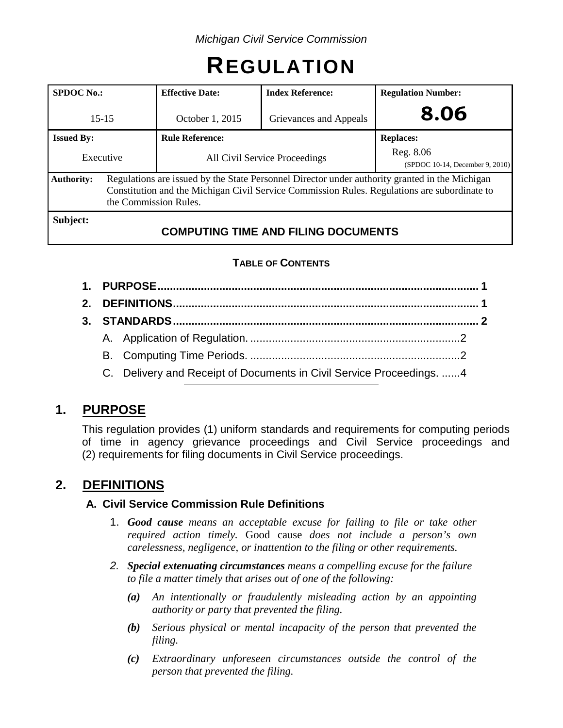# **REGULATION**

| <b>SPDOC</b> No.: |                                                                                                                                                                                                                         | <b>Index Reference:</b><br><b>Effective Date:</b> |                                            | <b>Regulation Number:</b>                    |  |
|-------------------|-------------------------------------------------------------------------------------------------------------------------------------------------------------------------------------------------------------------------|---------------------------------------------------|--------------------------------------------|----------------------------------------------|--|
| $15 - 15$         |                                                                                                                                                                                                                         | October 1, 2015<br>Grievances and Appeals         |                                            | 8.06                                         |  |
| <b>Issued By:</b> |                                                                                                                                                                                                                         | <b>Rule Reference:</b>                            |                                            | <b>Replaces:</b>                             |  |
| Executive         |                                                                                                                                                                                                                         | All Civil Service Proceedings                     |                                            | Reg. 8.06<br>(SPDOC 10-14, December 9, 2010) |  |
| <b>Authority:</b> | Regulations are issued by the State Personnel Director under authority granted in the Michigan<br>Constitution and the Michigan Civil Service Commission Rules. Regulations are subordinate to<br>the Commission Rules. |                                                   |                                            |                                              |  |
| Subject:          |                                                                                                                                                                                                                         |                                                   | <b>COMPUTING TIME AND FILING DOCUMENTS</b> |                                              |  |

## **TABLE OF CONTENTS**

|  | C. Delivery and Receipt of Documents in Civil Service Proceedings. 4 |  |
|--|----------------------------------------------------------------------|--|
|  |                                                                      |  |

# **1. PURPOSE**

This regulation provides (1) uniform standards and requirements for computing periods of time in agency grievance proceedings and Civil Service proceedings and (2) requirements for filing documents in Civil Service proceedings.

# **2. DEFINITIONS**

### **A. Civil Service Commission Rule Definitions**

- 1. *Good cause means an acceptable excuse for failing to file or take other required action timely.* Good cause *does not include a person's own carelessness, negligence, or inattention to the filing or other requirements.*
- *2. Special extenuating circumstances means a compelling excuse for the failure to file a matter timely that arises out of one of the following:*
	- *(a) An intentionally or fraudulently misleading action by an appointing authority or party that prevented the filing.*
	- *(b) Serious physical or mental incapacity of the person that prevented the filing.*
	- *(c) Extraordinary unforeseen circumstances outside the control of the person that prevented the filing.*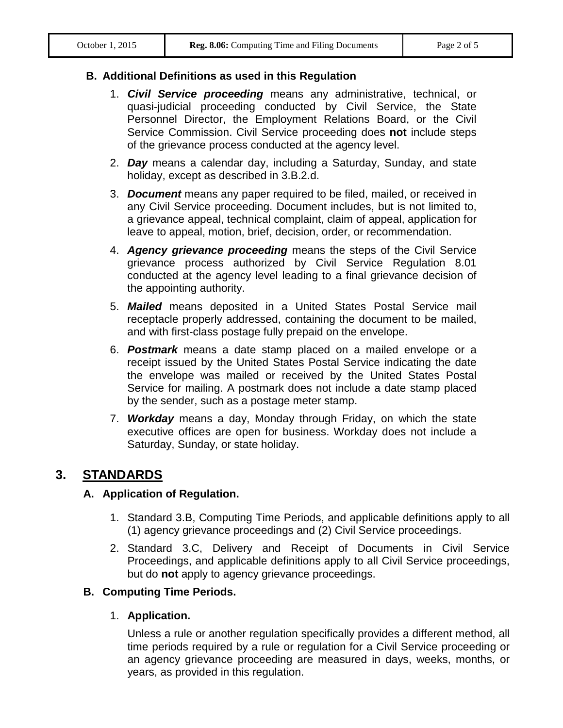#### **B. Additional Definitions as used in this Regulation**

- 1. *Civil Service proceeding* means any administrative, technical, or quasi-judicial proceeding conducted by Civil Service, the State Personnel Director, the Employment Relations Board, or the Civil Service Commission. Civil Service proceeding does **not** include steps of the grievance process conducted at the agency level.
- 2. *Day* means a calendar day, including a Saturday, Sunday, and state holiday, except as described in 3.B.2.d.
- 3. *Document* means any paper required to be filed, mailed, or received in any Civil Service proceeding. Document includes, but is not limited to, a grievance appeal, technical complaint, claim of appeal, application for leave to appeal, motion, brief, decision, order, or recommendation.
- 4. *Agency grievance proceeding* means the steps of the Civil Service grievance process authorized by Civil Service Regulation 8.01 conducted at the agency level leading to a final grievance decision of the appointing authority.
- 5. *Mailed* means deposited in a United States Postal Service mail receptacle properly addressed, containing the document to be mailed, and with first-class postage fully prepaid on the envelope.
- 6. *Postmark* means a date stamp placed on a mailed envelope or a receipt issued by the United States Postal Service indicating the date the envelope was mailed or received by the United States Postal Service for mailing. A postmark does not include a date stamp placed by the sender, such as a postage meter stamp.
- 7. *Workday* means a day, Monday through Friday, on which the state executive offices are open for business. Workday does not include a Saturday, Sunday, or state holiday.

## **3. STANDARDS**

#### **A. Application of Regulation.**

- 1. Standard 3.B, Computing Time Periods, and applicable definitions apply to all (1) agency grievance proceedings and (2) Civil Service proceedings.
- 2. Standard 3.C, Delivery and Receipt of Documents in Civil Service Proceedings, and applicable definitions apply to all Civil Service proceedings, but do **not** apply to agency grievance proceedings.

#### **B. Computing Time Periods.**

#### 1. **Application.**

Unless a rule or another regulation specifically provides a different method, all time periods required by a rule or regulation for a Civil Service proceeding or an agency grievance proceeding are measured in days, weeks, months, or years, as provided in this regulation.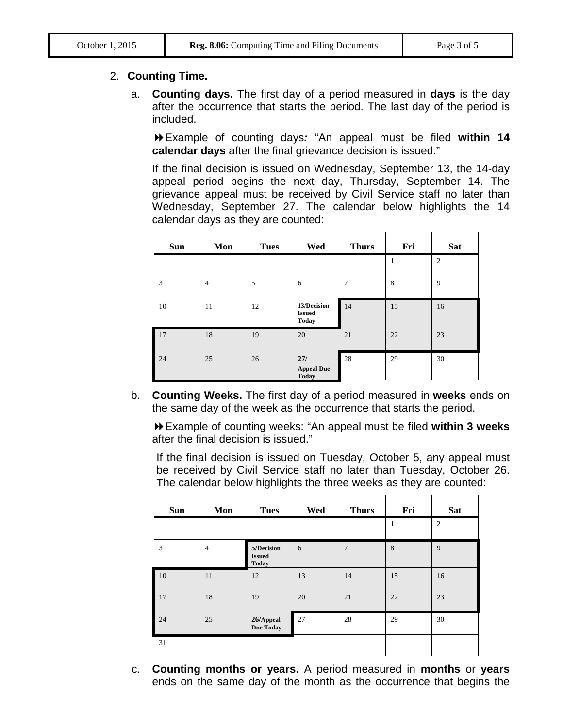#### 2. **Counting Time.**

a. **Counting days.** The first day of a period measured in **days** is the day after the occurrence that starts the period. The last day of the period is included.

Example of counting days*:* "An appeal must be filed **within 14 calendar days** after the final grievance decision is issued."

If the final decision is issued on Wednesday, September 13, the 14-day appeal period begins the next day, Thursday, September 14. The grievance appeal must be received by Civil Service staff no later than Wednesday, September 27. The calendar below highlights the 14 calendar days as they are counted:

| <b>Sun</b> | Mon            | <b>Tues</b> | Wed                                          | <b>Thurs</b> | Fri | <b>Sat</b>     |
|------------|----------------|-------------|----------------------------------------------|--------------|-----|----------------|
|            |                |             |                                              |              |     | $\overline{2}$ |
| 3          | $\overline{4}$ | 5           | 6                                            | 7            | 8   | 9              |
| 10         | 11             | 12          | 13/Decision<br><b>Issued</b><br><b>Today</b> | 14           | 15  | 16             |
| 17         | 18             | 19          | 20                                           | 21           | 22  | 23             |
| 24         | 25             | 26          | 27/<br><b>Appeal Due</b><br><b>Today</b>     | 28           | 29  | 30             |

b. **Counting Weeks.** The first day of a period measured in **weeks** ends on the same day of the week as the occurrence that starts the period.

Example of counting weeks: "An appeal must be filed **within 3 weeks** after the final decision is issued."

If the final decision is issued on Tuesday, October 5, any appeal must be received by Civil Service staff no later than Tuesday, October 26. The calendar below highlights the three weeks as they are counted:

| <b>Sun</b> | Mon            | <b>Tues</b>                                 | Wed | <b>Thurs</b>   | Fri | <b>Sat</b>     |
|------------|----------------|---------------------------------------------|-----|----------------|-----|----------------|
|            |                |                                             |     |                | 1   | $\mathfrak{2}$ |
| 3          | $\overline{4}$ | 5/Decision<br><b>Issued</b><br><b>Today</b> | 6   | $\overline{7}$ | 8   | 9              |
| 10         | 11             | 12                                          | 13  | 14             | 15  | 16             |
| 17         | 18             | 19                                          | 20  | 21             | 22  | 23             |
| 24         | 25             | 26/Appeal<br><b>Due Today</b>               | 27  | 28             | 29  | 30             |
| 31         |                |                                             |     |                |     |                |

c. **Counting months or years.** A period measured in **months** or **years** ends on the same day of the month as the occurrence that begins the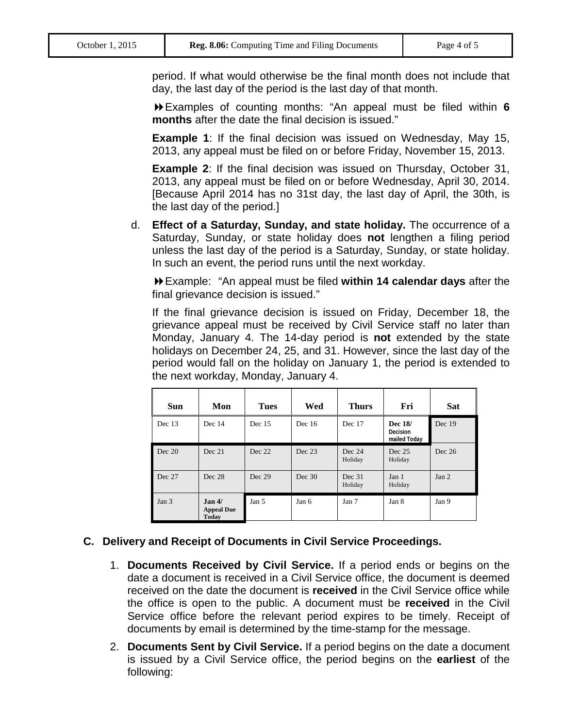period. If what would otherwise be the final month does not include that day, the last day of the period is the last day of that month.

Examples of counting months: "An appeal must be filed within **6 months** after the date the final decision is issued."

**Example 1**: If the final decision was issued on Wednesday, May 15, 2013, any appeal must be filed on or before Friday, November 15, 2013.

**Example 2**: If the final decision was issued on Thursday, October 31, 2013, any appeal must be filed on or before Wednesday, April 30, 2014. [Because April 2014 has no 31st day, the last day of April, the 30th, is the last day of the period.]

d. **Effect of a Saturday, Sunday, and state holiday.** The occurrence of a Saturday, Sunday, or state holiday does **not** lengthen a filing period unless the last day of the period is a Saturday, Sunday, or state holiday. In such an event, the period runs until the next workday.

Example: "An appeal must be filed **within 14 calendar days** after the final grievance decision is issued."

If the final grievance decision is issued on Friday, December 18, the grievance appeal must be received by Civil Service staff no later than Monday, January 4. The 14-day period is **not** extended by the state holidays on December 24, 25, and 31. However, since the last day of the period would fall on the holiday on January 1, the period is extended to the next workday, Monday, January 4.

| <b>Sun</b>       | Mon                                                     | <b>Tues</b> | Wed      | <b>Thurs</b>      | Fri                                 | <b>Sat</b> |
|------------------|---------------------------------------------------------|-------------|----------|-------------------|-------------------------------------|------------|
| Dec 13           | Dec 14                                                  | Dec 15      | Dec $16$ | Dec 17            | Dec 18/<br>Decision<br>mailed Today | Dec 19     |
| Dec 20           | Dec 21                                                  | Dec 22      | Dec 23   | Dec 24<br>Holiday | Dec 25<br>Holiday                   | Dec $26$   |
| Dec 27           | Dec 28                                                  | Dec 29      | Dec 30   | Dec 31<br>Holiday | Jan 1<br>Holiday                    | Jan 2      |
| Jan <sub>3</sub> | Jan <sub>4</sub> /<br><b>Appeal Due</b><br><b>Today</b> | Jan 5       | Jan 6    | Jan 7             | Jan 8                               | Jan 9      |

#### **C. Delivery and Receipt of Documents in Civil Service Proceedings.**

- 1. **Documents Received by Civil Service.** If a period ends or begins on the date a document is received in a Civil Service office, the document is deemed received on the date the document is **received** in the Civil Service office while the office is open to the public. A document must be **received** in the Civil Service office before the relevant period expires to be timely. Receipt of documents by email is determined by the time-stamp for the message.
- 2. **Documents Sent by Civil Service.** If a period begins on the date a document is issued by a Civil Service office, the period begins on the **earliest** of the following: